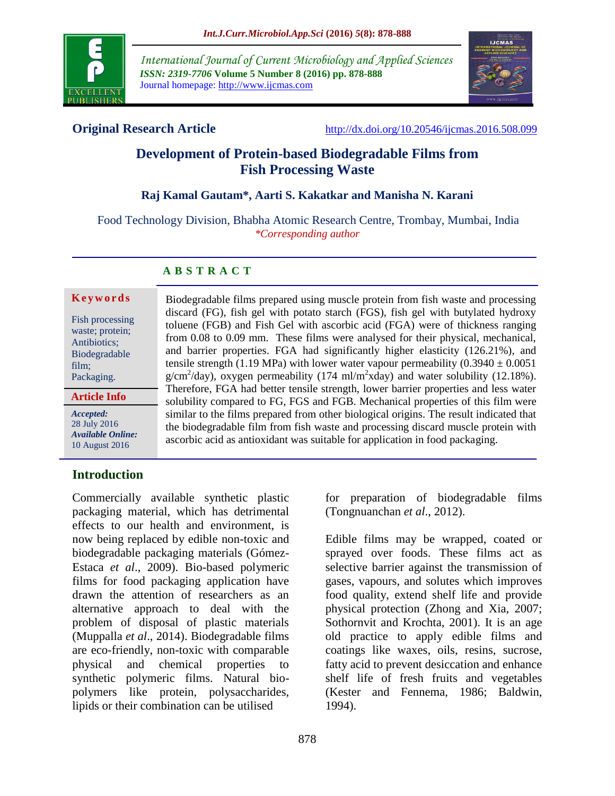

*International Journal of Current Microbiology and Applied Sciences ISSN: 2319-7706* **Volume 5 Number 8 (2016) pp. 878-888** Journal homepage: http://www.ijcmas.com



**Original Research Article** <http://dx.doi.org/10.20546/ijcmas.2016.508.099>

# **Development of Protein-based Biodegradable Films from Fish Processing Waste**

# **Raj Kamal Gautam\*, Aarti S. Kakatkar and Manisha N. Karani**

Food Technology Division, Bhabha Atomic Research Centre, Trombay, Mumbai, India *\*Corresponding author*

# **A B S T R A C T**

#### **K e y w o r d s**

Fish processing waste; protein; Antibiotics; Biodegradable film; Packaging.

#### **Article Info**

*Accepted:*  28 July 2016 *Available Online:* 10 August 2016

# **Introduction**

Commercially available synthetic plastic packaging material, which has detrimental effects to our health and environment, is now being replaced by edible non-toxic and biodegradable packaging materials (Gómez-Estaca *et al*., 2009). Bio-based polymeric films for food packaging application have drawn the attention of researchers as an alternative approach to deal with the problem of disposal of plastic materials (Muppalla *et al*., 2014). Biodegradable films are eco-friendly, non-toxic with comparable physical and chemical properties to synthetic polymeric films. Natural biopolymers like protein, polysaccharides, lipids or their combination can be utilised

Biodegradable films prepared using muscle protein from fish waste and processing discard (FG), fish gel with potato starch (FGS), fish gel with butylated hydroxy toluene (FGB) and Fish Gel with ascorbic acid (FGA) were of thickness ranging from 0.08 to 0.09 mm. These films were analysed for their physical, mechanical, and barrier properties. FGA had significantly higher elasticity (126.21%), and tensile strength (1.19 MPa) with lower water vapour permeability (0.3940  $\pm$  0.0051  $g/cm^2$ /day), oxygen permeability (174 ml/m<sup>2</sup>xday) and water solubility (12.18%). Therefore, FGA had better tensile strength, lower barrier properties and less water solubility compared to FG, FGS and FGB. Mechanical properties of this film were similar to the films prepared from other biological origins. The result indicated that the biodegradable film from fish waste and processing discard muscle protein with ascorbic acid as antioxidant was suitable for application in food packaging.

> for preparation of biodegradable films (Tongnuanchan *et al*., 2012).

> Edible films may be wrapped, coated or sprayed over foods. These films act as selective barrier against the transmission of gases, vapours, and solutes which improves food quality, extend shelf life and provide physical protection (Zhong and Xia, 2007; Sothornvit and Krochta, 2001). It is an age old practice to apply edible films and coatings like waxes, oils, resins, sucrose, fatty acid to prevent desiccation and enhance shelf life of fresh fruits and vegetables (Kester and Fennema, 1986; Baldwin, 1994).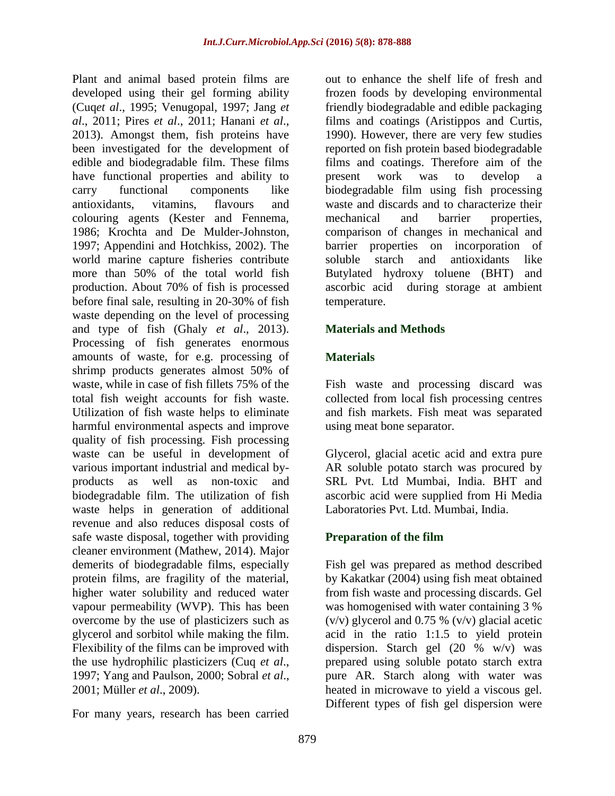Plant and animal based protein films are developed using their gel forming ability (Cuq*et al*., 1995; Venugopal, 1997; Jang *et al*., 2011; Pires *et al*., 2011; Hanani *et al*., 2013). Amongst them, fish proteins have been investigated for the development of edible and biodegradable film. These films have functional properties and ability to carry functional components like antioxidants, vitamins, flavours and colouring agents (Kester and Fennema, 1986; Krochta and De Mulder-Johnston, 1997; Appendini and Hotchkiss, 2002). The world marine capture fisheries contribute more than 50% of the total world fish production. About 70% of fish is processed before final sale, resulting in 20-30% of fish waste depending on the level of processing and type of fish (Ghaly *et al*., 2013). Processing of fish generates enormous amounts of waste, for e.g. processing of shrimp products generates almost 50% of waste, while in case of fish fillets 75% of the total fish weight accounts for fish waste. Utilization of fish waste helps to eliminate harmful environmental aspects and improve quality of fish processing. Fish processing waste can be useful in development of various important industrial and medical byproducts as well as non-toxic and biodegradable film. The utilization of fish waste helps in generation of additional revenue and also reduces disposal costs of safe waste disposal, together with providing cleaner environment (Mathew, 2014). Major demerits of biodegradable films, especially protein films, are fragility of the material, higher water solubility and reduced water vapour permeability (WVP). This has been overcome by the use of plasticizers such as glycerol and sorbitol while making the film. Flexibility of the films can be improved with the use hydrophilic plasticizers (Cuq *et al*., 1997; Yang and Paulson, 2000; Sobral *et al*., 2001; Müller *et al*., 2009).

For many years, research has been carried

out to enhance the shelf life of fresh and frozen foods by developing environmental friendly biodegradable and edible packaging films and coatings (Aristippos and Curtis, 1990). However, there are very few studies reported on fish protein based biodegradable films and coatings. Therefore aim of the present work was to develop a biodegradable film using fish processing waste and discards and to characterize their mechanical and barrier properties, comparison of changes in mechanical and barrier properties on incorporation of soluble starch and antioxidants like Butylated hydroxy toluene (BHT) and ascorbic acid during storage at ambient temperature.

# **Materials and Methods**

# **Materials**

Fish waste and processing discard was collected from local fish processing centres and fish markets. Fish meat was separated using meat bone separator.

Glycerol, glacial acetic acid and extra pure AR soluble potato starch was procured by SRL Pvt. Ltd Mumbai, India. BHT and ascorbic acid were supplied from Hi Media Laboratories Pvt. Ltd. Mumbai, India.

# **Preparation of the film**

Fish gel was prepared as method described by Kakatkar (2004) using fish meat obtained from fish waste and processing discards. Gel was homogenised with water containing 3 %  $(v/v)$  glycerol and 0.75 %  $(v/v)$  glacial acetic acid in the ratio 1:1.5 to yield protein dispersion. Starch gel (20 % w/v) was prepared using soluble potato starch extra pure AR. Starch along with water was heated in microwave to yield a viscous gel. Different types of fish gel dispersion were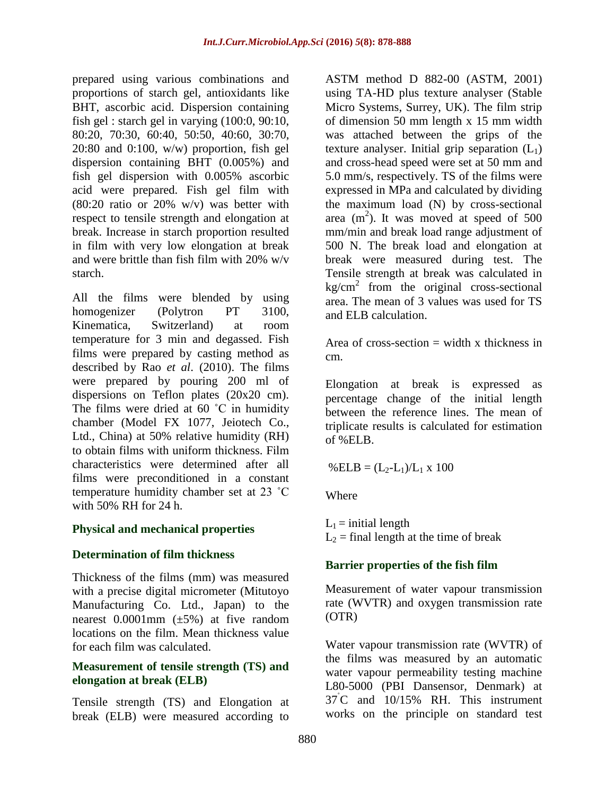prepared using various combinations and proportions of starch gel, antioxidants like BHT, ascorbic acid. Dispersion containing fish gel : starch gel in varying (100:0, 90:10, 80:20, 70:30, 60:40, 50:50, 40:60, 30:70, 20:80 and 0:100, w/w) proportion, fish gel dispersion containing BHT (0.005%) and fish gel dispersion with 0.005% ascorbic acid were prepared. Fish gel film with  $(80:20 \text{ ratio or } 20\% \text{ w/v})$  was better with respect to tensile strength and elongation at break. Increase in starch proportion resulted in film with very low elongation at break and were brittle than fish film with 20% w/v starch.

All the films were blended by using homogenizer (Polytron PT 3100, Kinematica, Switzerland) at room temperature for 3 min and degassed. Fish films were prepared by casting method as described by Rao *et al*. (2010). The films were prepared by pouring 200 ml of dispersions on Teflon plates (20x20 cm). The films were dried at 60 °C in humidity chamber (Model FX 1077, Jeiotech Co., Ltd., China) at 50% relative humidity (RH) to obtain films with uniform thickness. Film characteristics were determined after all films were preconditioned in a constant temperature humidity chamber set at 23 ˚C with 50% RH for 24 h.

# **Physical and mechanical properties**

# **Determination of film thickness**

Thickness of the films (mm) was measured with a precise digital micrometer (Mitutoyo Manufacturing Co. Ltd., Japan) to the nearest  $0.0001$ mm  $(\pm 5\%)$  at five random locations on the film. Mean thickness value for each film was calculated.

#### **Measurement of tensile strength (TS) and elongation at break (ELB)**

Tensile strength (TS) and Elongation at break (ELB) were measured according to

ASTM method D 882-00 (ASTM, 2001) using TA-HD plus texture analyser (Stable Micro Systems, Surrey, UK). The film strip of dimension 50 mm length x 15 mm width was attached between the grips of the texture analyser. Initial grip separation  $(L_1)$ and cross-head speed were set at 50 mm and 5.0 mm/s, respectively. TS of the films were expressed in MPa and calculated by dividing the maximum load (N) by cross-sectional area  $(m^2)$ . It was moved at speed of 500 mm/min and break load range adjustment of 500 N. The break load and elongation at break were measured during test. The Tensile strength at break was calculated in  $kg/cm<sup>2</sup>$  from the original cross-sectional area. The mean of 3 values was used for TS and ELB calculation.

Area of cross-section  $=$  width x thickness in cm.

Elongation at break is expressed as percentage change of the initial length between the reference lines. The mean of triplicate results is calculated for estimation of %ELB.

 $% ELB = (L_2-L_1)/L_1 \times 100$ 

**Where** 

 $L_1$  = initial length  $L_2$  = final length at the time of break

# **Barrier properties of the fish film**

Measurement of water vapour transmission rate (WVTR) and oxygen transmission rate (OTR)

Water vapour transmission rate (WVTR) of the films was measured by an automatic water vapour permeability testing machine L80-5000 (PBI Dansensor, Denmark) at  $37^{\circ}$ C and  $10/15\%$  RH. This instrument works on the principle on standard test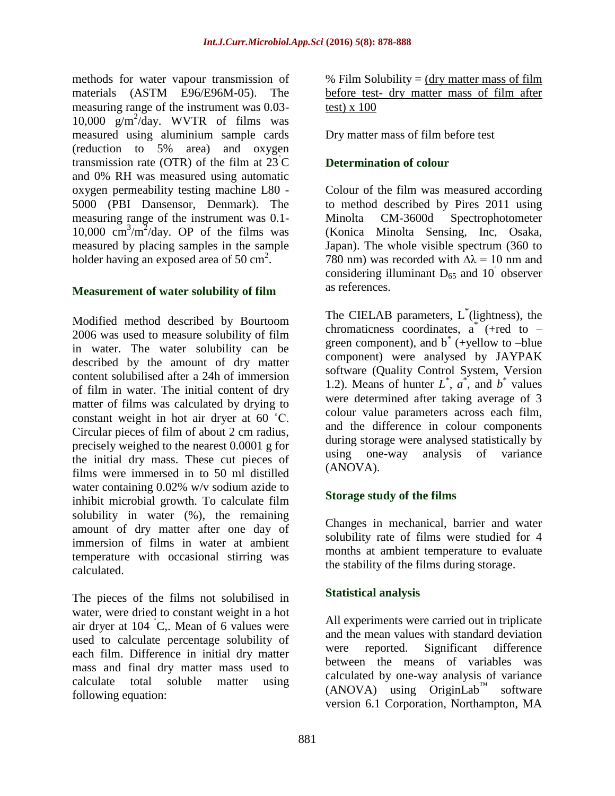methods for water vapour transmission of materials (ASTM E96/E96M-05). The measuring range of the instrument was 0.03- 10,000 g/m<sup>2</sup> /day. WVTR of films was measured using aluminium sample cards (reduction to 5% area) and oxygen transmission rate (OTR) of the film at  $23^{\circ}$ C and 0% RH was measured using automatic oxygen permeability testing machine L80 - 5000 (PBI Dansensor, Denmark). The measuring range of the instrument was 0.1- 10,000  $\text{cm}^3/\text{m}^2/\text{day}$ . OP of the films was measured by placing samples in the sample holder having an exposed area of 50 cm<sup>2</sup>.

# **Measurement of water solubility of film**

Modified method described by Bourtoom 2006 was used to measure solubility of film in water. The water solubility can be described by the amount of dry matter content solubilised after a 24h of immersion of film in water. The initial content of dry matter of films was calculated by drying to constant weight in hot air dryer at 60 ˚C. Circular pieces of film of about 2 cm radius, precisely weighed to the nearest 0.0001 g for the initial dry mass. These cut pieces of films were immersed in to 50 ml distilled water containing 0.02% w/v sodium azide to inhibit microbial growth. To calculate film solubility in water (%), the remaining amount of dry matter after one day of immersion of films in water at ambient temperature with occasional stirring was calculated.

The pieces of the films not solubilised in water, were dried to constant weight in a hot air dryer at  $104$  °C,. Mean of 6 values were used to calculate percentage solubility of each film. Difference in initial dry matter mass and final dry matter mass used to calculate total soluble matter using following equation:

% Film Solubility  $=$  (dry matter mass of film before test- dry matter mass of film after test) x 100

Dry matter mass of film before test

# **Determination of colour**

Colour of the film was measured according to method described by Pires 2011 using Minolta CM-3600d Spectrophotometer (Konica Minolta Sensing, Inc, Osaka, Japan). The whole visible spectrum (360 to 780 nm) was recorded with  $\Delta \lambda = 10$  nm and considering illuminant  $D_{65}$  and  $10^{^{\circ}}$  observer as references.

The CIELAB parameters, L<sup>\*</sup>(lightness), the chromaticness coordinates,  $a^*$  (+red to – green component), and b\* (+yellow to –blue component) were analysed by JAYPAK software (Quality Control System, Version 1.2). Means of hunter  $L^*$ ,  $a^*$ , and  $b^*$  values were determined after taking average of 3 colour value parameters across each film, and the difference in colour components during storage were analysed statistically by using one-way analysis of variance (ANOVA).

# **Storage study of the films**

Changes in mechanical, barrier and water solubility rate of films were studied for 4 months at ambient temperature to evaluate the stability of the films during storage.

# **Statistical analysis**

All experiments were carried out in triplicate and the mean values with standard deviation were reported. Significant difference between the means of variables was calculated by one-way analysis of variance  $(ANOVA)$  using OriginLab<sup>™</sup> software version 6.1 Corporation, Northampton, MA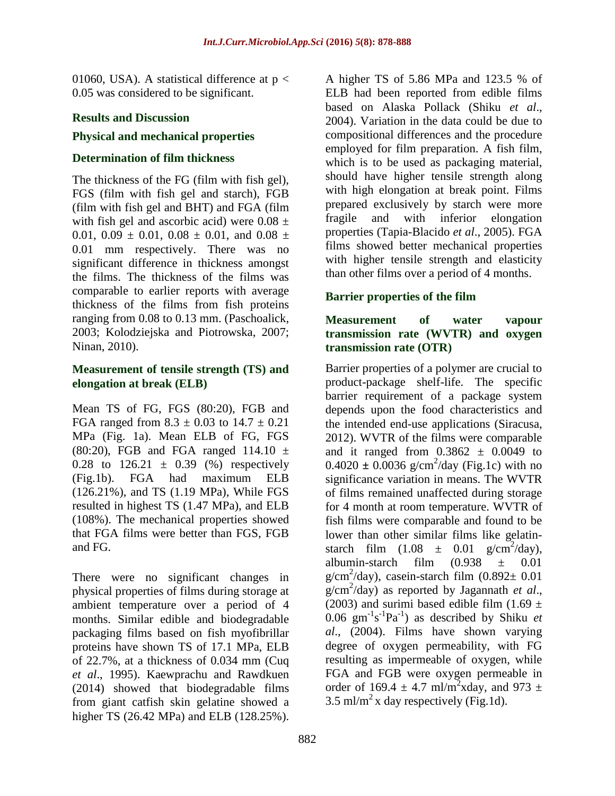01060, USA). A statistical difference at  $p <$ 0.05 was considered to be significant.

# **Results and Discussion**

# **Physical and mechanical properties**

# **Determination of film thickness**

The thickness of the FG (film with fish gel), FGS (film with fish gel and starch), FGB (film with fish gel and BHT) and FGA (film with fish gel and ascorbic acid) were  $0.08 \pm$ 0.01, 0.09  $\pm$  0.01, 0.08  $\pm$  0.01, and 0.08  $\pm$ 0.01 mm respectively. There was no significant difference in thickness amongst the films. The thickness of the films was comparable to earlier reports with average thickness of the films from fish proteins ranging from 0.08 to 0.13 mm. (Paschoalick, 2003; Kolodziejska and Piotrowska, 2007; Ninan, 2010).

# **Measurement of tensile strength (TS) and elongation at break (ELB)**

Mean TS of FG, FGS (80:20), FGB and FGA ranged from  $8.3 \pm 0.03$  to  $14.7 \pm 0.21$ MPa (Fig. 1a). Mean ELB of FG, FGS (80:20), FGB and FGA ranged 114.10  $\pm$ 0.28 to  $126.21 \pm 0.39$  (%) respectively (Fig.1b). FGA had maximum ELB (126.21%), and TS (1.19 MPa), While FGS resulted in highest TS (1.47 MPa), and ELB (108%). The mechanical properties showed that FGA films were better than FGS, FGB and FG.

There were no significant changes in physical properties of films during storage at ambient temperature over a period of 4 months. Similar edible and biodegradable packaging films based on fish myofibrillar proteins have shown TS of 17.1 MPa, ELB of 22.7%, at a thickness of 0.034 mm (Cuq *et al*., 1995). Kaewprachu and Rawdkuen (2014) showed that biodegradable films from giant catfish skin gelatine showed a higher TS (26.42 MPa) and ELB (128.25%).

A higher TS of 5.86 MPa and 123.5 % of ELB had been reported from edible films based on Alaska Pollack (Shiku *et al*., 2004). Variation in the data could be due to compositional differences and the procedure employed for film preparation. A fish film, which is to be used as packaging material, should have higher tensile strength along with high elongation at break point. Films prepared exclusively by starch were more fragile and with inferior elongation properties (Tapia-Blacido *et al*., 2005). FGA films showed better mechanical properties with higher tensile strength and elasticity than other films over a period of 4 months.

# **Barrier properties of the film**

#### **Measurement of water vapour transmission rate (WVTR) and oxygen transmission rate (OTR)**

Barrier properties of a polymer are crucial to product-package shelf-life. The specific barrier requirement of a package system depends upon the food characteristics and the intended end-use applications (Siracusa, 2012). WVTR of the films were comparable and it ranged from  $0.3862 \pm 0.0049$  to  $0.4020 \pm 0.0036$  g/cm<sup>2</sup>/day (Fig.1c) with no significance variation in means. The WVTR of films remained unaffected during storage for 4 month at room temperature. WVTR of fish films were comparable and found to be lower than other similar films like gelatinstarch film  $(1.08 \pm 0.01 \text{ g/cm}^2/\text{day})$ , albumin-starch film  $(0.938 \pm 0.01)$  $g/cm^2$ /day), casein-starch film  $(0.892 \pm 0.01)$ g/cm<sup>2</sup> /day) as reported by Jagannath *et al*., (2003) and surimi based edible film (1.69  $\pm$ 0.06  $\text{gm}^{-1}\text{s}^{-1}\text{Pa}^{-1}$ ) as described by Shiku *et al*., (2004). Films have shown varying degree of oxygen permeability, with FG resulting as impermeable of oxygen, while FGA and FGB were oxygen permeable in order of 169.4  $\pm$  4.7 ml/m<sup>2</sup>xday, and 973  $\pm$ 3.5 ml/m<sup>2</sup> x day respectively (Fig.1d).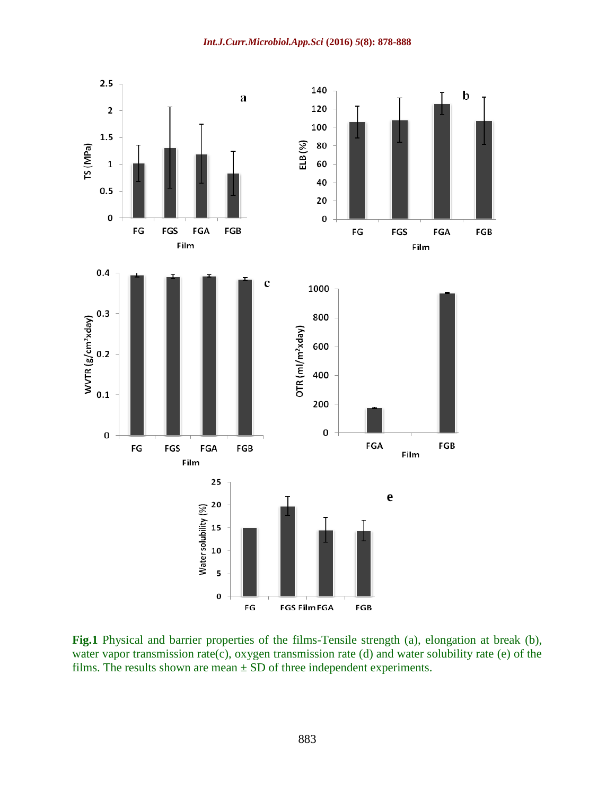*Int.J.Curr.Microbiol.App.Sci* **(2016)** *5***(8): 878-888**



**Fig.1** Physical and barrier properties of the films-Tensile strength (a), elongation at break (b), water vapor transmission rate(c), oxygen transmission rate (d) and water solubility rate (e) of the films. The results shown are mean  $\pm$  SD of three independent experiments.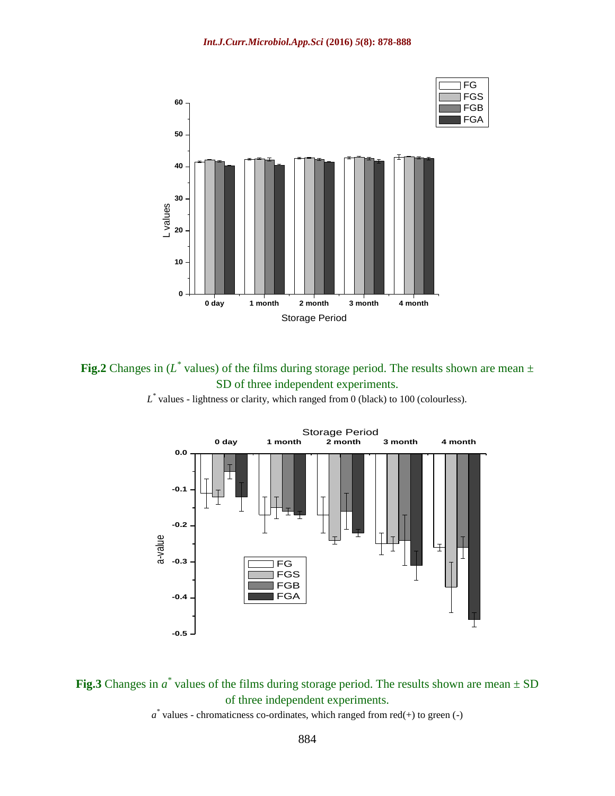

**Fig.2** Changes in  $(L^*$  values) of the films during storage period. The results shown are mean  $\pm$ SD of three independent experiments.





**Fig.3** Changes in  $a^*$  values of the films during storage period. The results shown are mean  $\pm$  SD of three independent experiments.

 $a^*$  values - chromaticness co-ordinates, which ranged from red(+) to green (-)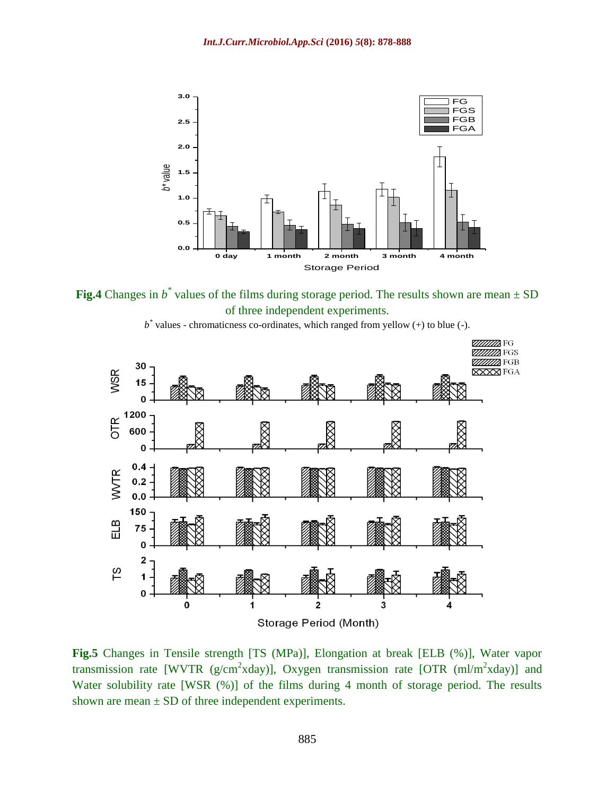

**Fig.4** Changes in  $b^*$  values of the films during storage period. The results shown are mean  $\pm$  SD of three independent experiments.



 $b^*$  values - chromaticness co-ordinates, which ranged from yellow  $(+)$  to blue  $(-)$ .

**Fig.5** Changes in Tensile strength [TS (MPa)], Elongation at break [ELB (%)], Water vapor transmission rate [WVTR ( $g/cm^2$ xday)], Oxygen transmission rate [OTR (ml/m<sup>2</sup>xday)] and Water solubility rate [WSR  $(\%)$ ] of the films during 4 month of storage period. The results shown are mean  $\pm$  SD of three independent experiments.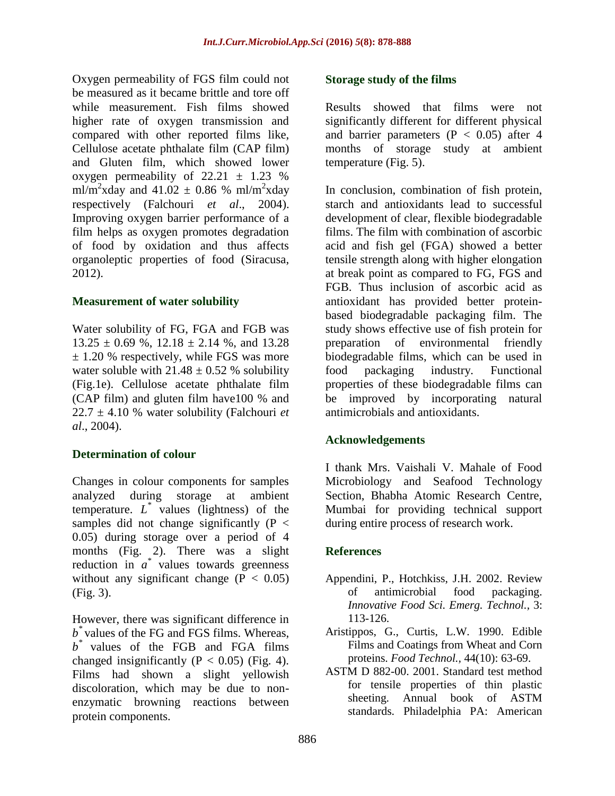Oxygen permeability of FGS film could not be measured as it became brittle and tore off while measurement. Fish films showed higher rate of oxygen transmission and compared with other reported films like, Cellulose acetate phthalate film (CAP film) and Gluten film, which showed lower oxygen permeability of  $22.21 \pm 1.23$  % ml/m<sup>2</sup>xday and  $41.02 \pm 0.86$  % ml/m<sup>2</sup>xday respectively (Falchouri *et al*., 2004). Improving oxygen barrier performance of a film helps as oxygen promotes degradation of food by oxidation and thus affects organoleptic properties of food (Siracusa, 2012).

# **Measurement of water solubility**

Water solubility of FG, FGA and FGB was  $13.25 \pm 0.69$  %,  $12.18 \pm 2.14$  %, and  $13.28$  $\pm$  1.20 % respectively, while FGS was more water soluble with  $21.48 \pm 0.52$  % solubility (Fig.1e). Cellulose acetate phthalate film (CAP film) and gluten film have100 % and  $22.7 \pm 4.10$  % water solubility (Falchouri *et*) *al*., 2004).

# **Determination of colour**

Changes in colour components for samples analyzed during storage at ambient temperature. *L \** values (lightness) of the samples did not change significantly  $(P \leq$ 0.05) during storage over a period of 4 months (Fig. 2). There was a slight reduction in  $a^*$  values towards greenness without any significant change  $(P < 0.05)$ (Fig. 3).

However, there was significant difference in *b \** values of the FG and FGS films. Whereas, *b \** values of the FGB and FGA films changed insignificantly ( $P < 0.05$ ) (Fig. 4). Films had shown a slight yellowish discoloration, which may be due to nonenzymatic browning reactions between protein components.

## **Storage study of the films**

Results showed that films were not significantly different for different physical and barrier parameters  $(P < 0.05)$  after 4 months of storage study at ambient temperature (Fig. 5).

In conclusion, combination of fish protein, starch and antioxidants lead to successful development of clear, flexible biodegradable films. The film with combination of ascorbic acid and fish gel (FGA) showed a better tensile strength along with higher elongation at break point as compared to FG, FGS and FGB. Thus inclusion of ascorbic acid as antioxidant has provided better proteinbased biodegradable packaging film. The study shows effective use of fish protein for preparation of environmental friendly biodegradable films, which can be used in food packaging industry. Functional properties of these biodegradable films can be improved by incorporating natural antimicrobials and antioxidants.

# **Acknowledgements**

I thank Mrs. Vaishali V. Mahale of Food Microbiology and Seafood Technology Section, Bhabha Atomic Research Centre, Mumbai for providing technical support during entire process of research work.

# **References**

- Appendini, P., Hotchkiss, J.H. 2002. Review of antimicrobial food packaging. *Innovative Food Sci. Emerg. Technol.,* 3: 113-126.
- Aristippos, G., Curtis, L.W. 1990. Edible Films and Coatings from Wheat and Corn proteins. *Food Technol.,* 44(10): 63-69.
- ASTM D 882-00. 2001. Standard test method for tensile properties of thin plastic sheeting. Annual book of ASTM standards. Philadelphia PA: American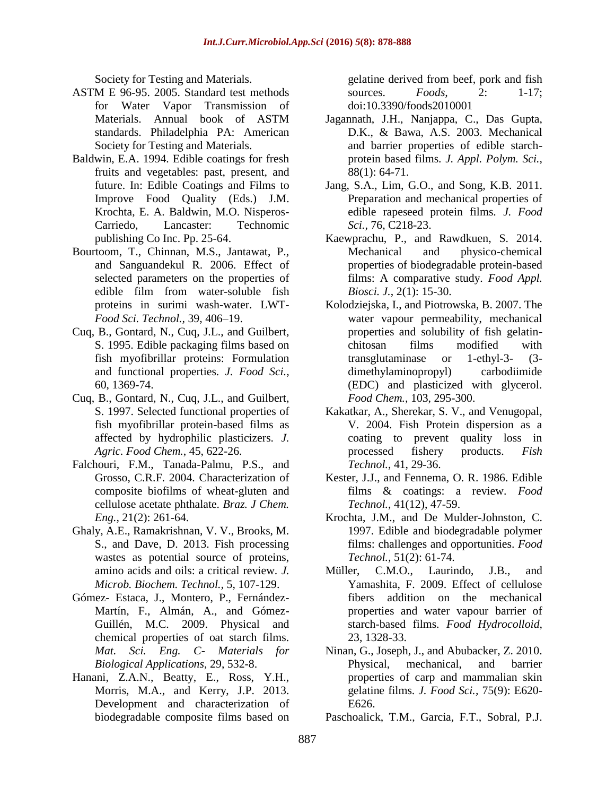Society for Testing and Materials.

- ASTM E 96-95. 2005. Standard test methods for Water Vapor Transmission of Materials. Annual book of ASTM standards. Philadelphia PA: American Society for Testing and Materials.
- Baldwin, E.A. 1994. Edible coatings for fresh fruits and vegetables: past, present, and future. In: Edible Coatings and Films to Improve Food Quality (Eds.) J.M. Krochta, E. A. Baldwin, M.O. Nisperos-Carriedo, Lancaster: Technomic publishing Co Inc. Pp. 25-64.
- Bourtoom, T., Chinnan, M.S., Jantawat, P., and Sanguandekul R. 2006. Effect of selected parameters on the properties of edible film from water-soluble fish proteins in surimi wash-water. LWT-*Food Sci. Technol.,* 39, 406–19.
- Cuq, B., Gontard, N., Cuq, J.L., and Guilbert, S. 1995. Edible packaging films based on fish myofibrillar proteins: Formulation and functional properties. *J. Food Sci.,* 60, 1369-74.
- Cuq, B., Gontard, N., Cuq, J.L., and Guilbert, S. 1997. Selected functional properties of fish myofibrillar protein-based films as affected by hydrophilic plasticizers. *J. Agric. Food Chem.*, 45, 622-26.
- Falchouri, F.M., Tanada-Palmu, P.S., and Grosso, C.R.F. 2004. Characterization of composite biofilms of wheat-gluten and cellulose acetate phthalate. *Braz. J Chem. Eng.,* 21(2): 261-64.
- Ghaly, A.E., Ramakrishnan, V. V., Brooks, M. S., and Dave, D. 2013. Fish processing wastes as potential source of proteins, amino acids and oils: a critical review. *J. Microb. Biochem. Technol.,* 5, 107-129.
- Gómez- Estaca, J., Montero, P., Fernández-Martín, F., Almán, A., and Gómez-Guillén, M.C. 2009. Physical and chemical properties of oat starch films. *Mat. Sci. Eng. C- Materials for Biological Applications,* 29, 532-8.
- Hanani, Z.A.N., Beatty, E., Ross, Y.H., Morris, M.A., and Kerry, J.P. 2013. Development and characterization of biodegradable composite films based on

gelatine derived from beef, pork and fish sources. *Foods,* 2: 1-17; doi:10.3390/foods2010001

- Jagannath, J.H., Nanjappa, C., Das Gupta, D.K., & Bawa, A.S. 2003. Mechanical and barrier properties of edible starchprotein based films. *J. Appl. Polym. Sci.,* 88(1): 64-71.
- Jang, S.A., Lim, G.O., and Song, K.B. 2011. Preparation and mechanical properties of edible rapeseed protein films. *J. Food Sci.,* 76, C218-23.
- Kaewprachu, P., and Rawdkuen, S. 2014. Mechanical and physico-chemical properties of biodegradable protein-based films: A comparative study. *Food Appl. Biosci. J.*, 2(1): 15-30.
- Kolodziejska, I., and Piotrowska, B. 2007. The water vapour permeability, mechanical properties and solubility of fish gelatinchitosan films modified with transglutaminase or 1-ethyl-3- (3 dimethylaminopropyl) carbodiimide (EDC) and plasticized with glycerol. *Food Chem.,* 103, 295-300.
- Kakatkar, A., Sherekar, S. V., and Venugopal, V. 2004. Fish Protein dispersion as a coating to prevent quality loss in processed fishery products. *Fish Technol.*, 41, 29-36.
- Kester, J.J., and Fennema, O. R. 1986. Edible films & coatings: a review. *Food Technol.*, 41(12), 47-59.
- Krochta, J.M., and De Mulder-Johnston, C. 1997. Edible and biodegradable polymer films: challenges and opportunities. *Food Technol.,* 51(2): 61-74.
- Müller, C.M.O., Laurindo, J.B., and Yamashita, F. 2009. Effect of cellulose fibers addition on the mechanical properties and water vapour barrier of starch-based films. *Food Hydrocolloid,* 23, 1328-33.
- Ninan, G., Joseph, J., and Abubacker, Z. 2010. Physical, mechanical, and barrier properties of carp and mammalian skin gelatine films. *J. Food Sci.,* 75(9): E620- E626.

Paschoalick, T.M., Garcia, F.T., Sobral, P.J.